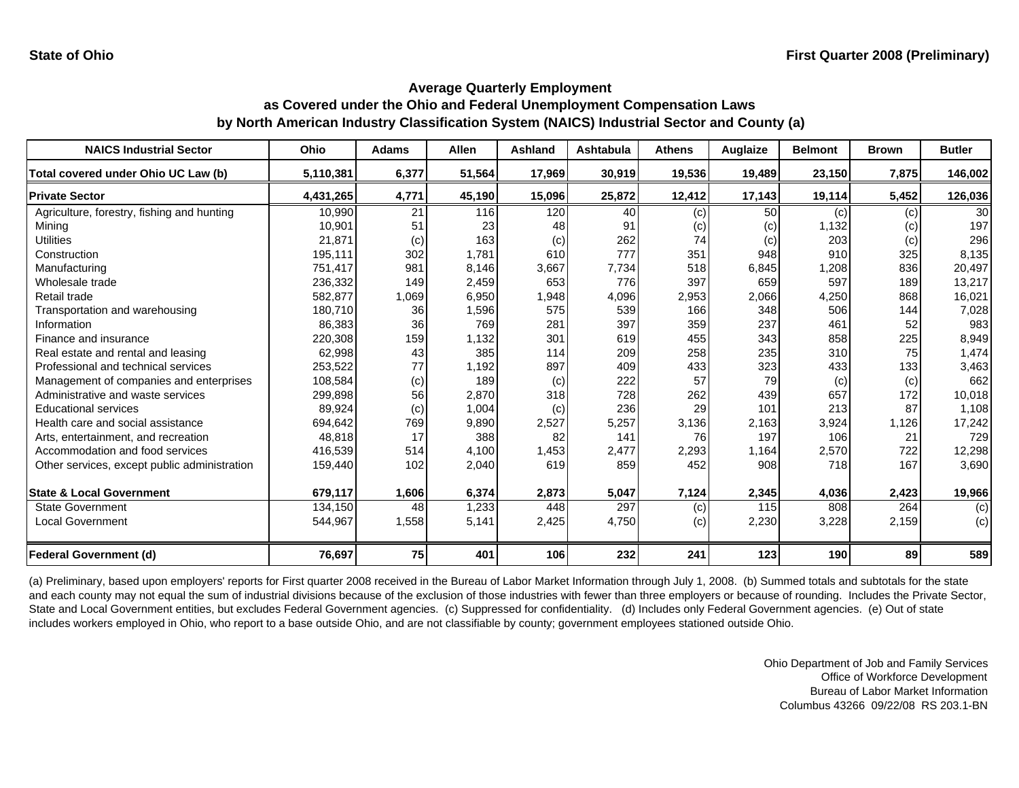| <b>NAICS Industrial Sector</b>               | <b>Ohio</b> | <b>Adams</b> | <b>Allen</b> | <b>Ashland</b> | <b>Ashtabula</b> | <b>Athens</b> | Auglaize | <b>Belmont</b> | <b>Brown</b> | <b>Butler</b>   |
|----------------------------------------------|-------------|--------------|--------------|----------------|------------------|---------------|----------|----------------|--------------|-----------------|
| Total covered under Ohio UC Law (b)          | 5,110,381   | 6,377        | 51,564       | 17,969         | 30,919           | 19,536        | 19,489   | 23,150         | 7,875        | 146,002         |
| <b>Private Sector</b>                        | 4,431,265   | 4,771        | 45,190       | 15,096         | 25,872           | 12,412        | 17,143   | 19,114         | 5,452        | 126,036         |
| Agriculture, forestry, fishing and hunting   | 10,990      | 21           | 116          | 120            | 40               | (c)           | 50       | (c)            | (c)          | 30 <sup>1</sup> |
| Mining                                       | 10,901      | 51           | 23           | 48             | 91               | (c)           | (c)      | 1.132          | (c)          | 197             |
| <b>Utilities</b>                             | 21,871      | (c)          | 163          | (c)            | 262              | 74            | (c)      | 203            | (c)          | 296             |
| Construction                                 | 195,111     | 302          | 1,781        | 610            | 777              | 351           | 948      | 910            | 325          | 8,135           |
| Manufacturing                                | 751,417     | 981          | 8,146        | 3,667          | 7,734            | 518           | 6,845    | 1,208          | 836          | 20,497          |
| Wholesale trade                              | 236,332     | 149          | 2,459        | 653            | 776              | 397           | 659      | 597            | 189          | 13,217          |
| Retail trade                                 | 582,877     | 1,069        | 6,950        | 1,948          | 4,096            | 2,953         | 2,066    | 4,250          | 868          | 16,021          |
| Transportation and warehousing               | 180,710     | 36           | 1,596        | 575            | 539              | 166           | 348      | 506            | 144          | 7,028           |
| Information                                  | 86,383      | 36           | 769          | 281            | 397              | 359           | 237      | 461            | 52           | 983             |
| Finance and insurance                        | 220,308     | 159          | 1,132        | 301            | 619              | 455           | 343      | 858            | 225          | 8,949           |
| Real estate and rental and leasing           | 62,998      | 43           | 385          | 114            | 209              | 258           | 235      | 310            | 75           | 1,474           |
| Professional and technical services          | 253,522     | 77           | 1,192        | 897            | 409              | 433           | 323      | 433            | 133          | 3,463           |
| Management of companies and enterprises      | 108,584     | (c)          | 189          | (c)            | 222              | 57            | 79       | (c)            | (c)          | 662             |
| Administrative and waste services            | 299,898     | 56           | 2,870        | 318            | 728              | 262           | 439      | 657            | 172          | 10,018          |
| <b>Educational services</b>                  | 89,924      | (c)          | 1,004        | (c)            | 236              | 29            | 101      | 213            | 87           | 1,108           |
| Health care and social assistance            | 694.642     | 769          | 9,890        | 2,527          | 5,257            | 3,136         | 2,163    | 3,924          | 1,126        | 17,242          |
| Arts, entertainment, and recreation          | 48.818      | 17           | 388          | 82             | 141              | 76            | 197      | 106            | 21           | 729             |
| Accommodation and food services              | 416,539     | 514          | 4,100        | 1,453          | 2,477            | 2,293         | 1,164    | 2,570          | 722          | 12,298          |
| Other services, except public administration | 159,440     | 102          | 2,040        | 619            | 859              | 452           | 908      | 718            | 167          | 3,690           |
| <b>State &amp; Local Government</b>          | 679,117     | 1,606        | 6,374        | 2,873          | 5,047            | 7,124         | 2,345    | 4,036          | 2,423        | 19,966          |
| <b>State Government</b>                      | 134,150     | 48           | 1,233        | 448            | 297              | (c)           | 115      | 808            | 264          | (c)             |
| Local Government                             | 544,967     | 1,558        | 5,141        | 2,425          | 4,750            | (c)           | 2,230    | 3,228          | 2,159        | (c)             |
| <b>Federal Government (d)</b>                | 76,697      | 75           | 401          | 106            | 232              | 241           | 123      | 190            | 89           | 589             |

(a) Preliminary, based upon employers' reports for First quarter 2008 received in the Bureau of Labor Market Information through July 1, 2008. (b) Summed totals and subtotals for the state and each county may not equal the sum of industrial divisions because of the exclusion of those industries with fewer than three employers or because of rounding. Includes the Private Sector, State and Local Government entities, but excludes Federal Government agencies. (c) Suppressed for confidentiality. (d) Includes only Federal Government agencies. (e) Out of state includes workers employed in Ohio, who report to a base outside Ohio, and are not classifiable by county; government employees stationed outside Ohio.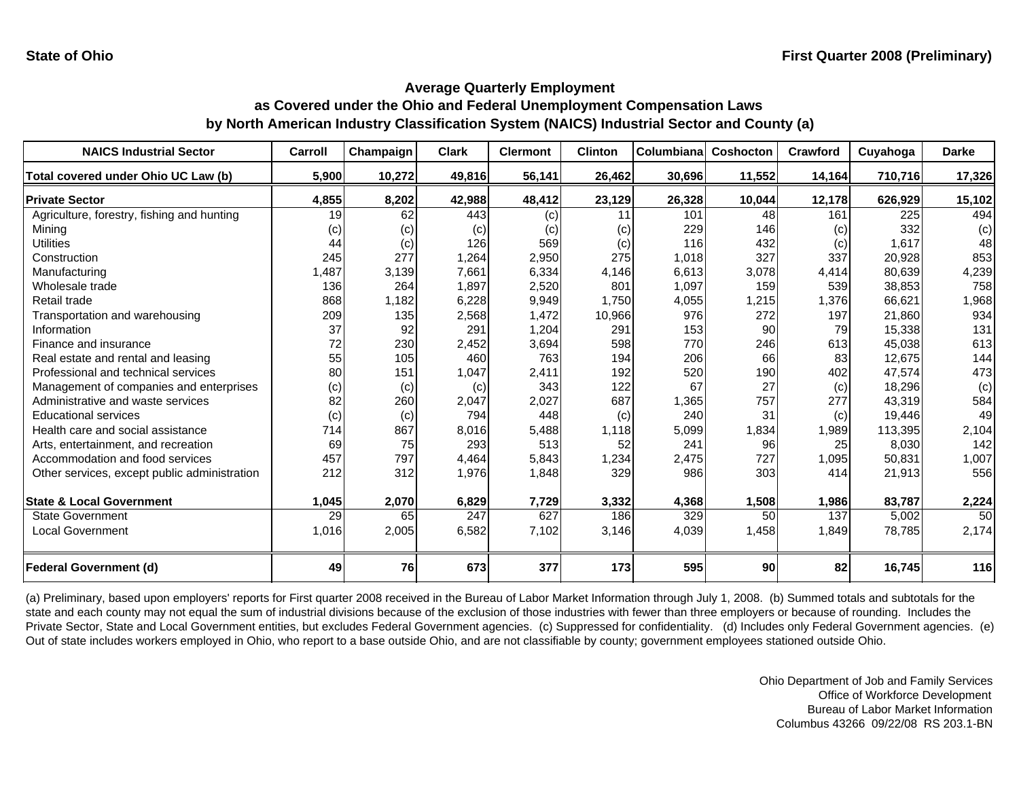| <b>NAICS Industrial Sector</b>               | Carroll | Champaign | Clark  | <b>Clermont</b> | <b>Clinton</b> | Columbiana | Coshocton | Crawford | Cuyahoga | <b>Darke</b> |
|----------------------------------------------|---------|-----------|--------|-----------------|----------------|------------|-----------|----------|----------|--------------|
| Total covered under Ohio UC Law (b)          | 5,900   | 10,272    | 49,816 | 56,141          | 26,462         | 30,696     | 11,552    | 14,164   | 710,716  | 17,326       |
| <b>Private Sector</b>                        | 4,855   | 8,202     | 42,988 | 48,412          | 23,129         | 26,328     | 10,044    | 12,178   | 626,929  | 15,102       |
| Agriculture, forestry, fishing and hunting   | 19      | 62        | 443    | (c)             | 11             | 101        | 48        | 161      | 225      | 494          |
| Minina                                       | (c)     | (c)       | (c)    | (c)             | (c)            | 229        | 146       | (c)      | 332      | (c)          |
| <b>Utilities</b>                             | 44      | (c)       | 126    | 569             | (c)            | 116        | 432       | (c)      | 1,617    | 48           |
| Construction                                 | 245     | 277       | 1,264  | 2,950           | 275            | 1,018      | 327       | 337      | 20,928   | 853          |
| Manufacturing                                | ,487    | 3,139     | 7,661  | 6,334           | 4,146          | 6,613      | 3,078     | 4,414    | 80,639   | 4,239        |
| Wholesale trade                              | 136     | 264       | 1,897  | 2,520           | 801            | 1,097      | 159       | 539      | 38,853   | 758          |
| Retail trade                                 | 868     | 1,182     | 6,228  | 9,949           | 1,750          | 4,055      | 1,215     | 1,376    | 66,621   | 1,968        |
| Transportation and warehousing               | 209     | 135       | 2,568  | 1,472           | 10,966         | 976        | 272       | 197      | 21,860   | 934          |
| Information                                  | 37      | 92        | 291    | 1,204           | 291            | 153        | 90        | 79       | 15,338   | 131          |
| Finance and insurance                        | 72      | 230       | 2,452  | 3,694           | 598            | 770        | 246       | 613      | 45,038   | 613          |
| Real estate and rental and leasing           | 55      | 105       | 460    | 763             | 194            | 206        | 66        | 83       | 12,675   | 144          |
| Professional and technical services          | 80      | 151       | 1,047  | 2,411           | 192            | 520        | 190       | 402      | 47,574   | 473          |
| Management of companies and enterprises      | (c)     | (c)       | (c)    | 343             | 122            | 67         | 27        | (c)      | 18,296   | (c)          |
| Administrative and waste services            | 82      | 260       | 2,047  | 2,027           | 687            | 1,365      | 757       | 277      | 43,319   | 584          |
| <b>Educational services</b>                  | (c)     | (c)       | 794    | 448             | (c)            | 240        | 31        | (c)      | 19,446   | 49           |
| Health care and social assistance            | 714     | 867       | 8,016  | 5,488           | 1.118          | 5,099      | 1,834     | 1,989    | 113,395  | 2,104        |
| Arts, entertainment, and recreation          | 69      | 75        | 293    | 513             | 52             | 241        | 96        | 25       | 8,030    | 142          |
| Accommodation and food services              | 457     | 797       | 4,464  | 5,843           | 1,234          | 2,475      | 727       | 1,095    | 50,831   | 1,007        |
| Other services, except public administration | 212     | 312       | 1,976  | 1,848           | 329            | 986        | 303       | 414      | 21,913   | 556          |
|                                              |         |           |        |                 |                |            |           |          |          |              |
| <b>State &amp; Local Government</b>          | 1,045   | 2,070     | 6,829  | 7,729           | 3,332          | 4,368      | 1,508     | 1,986    | 83,787   | 2,224        |
| <b>State Government</b>                      | 29      | 65        | 247    | 627             | 186            | 329        | 50        | 137      | 5,002    | 50           |
| Local Government                             | 1,016   | 2,005     | 6,582  | 7,102           | 3,146          | 4,039      | 1,458     | 1,849    | 78,785   | 2,174        |
|                                              |         |           |        |                 |                |            |           |          |          |              |
| <b>Federal Government (d)</b>                | 49      | 76        | 673    | 377             | 173            | 595        | 90        | 82       | 16,745   | 116          |

(a) Preliminary, based upon employers' reports for First quarter 2008 received in the Bureau of Labor Market Information through July 1, 2008. (b) Summed totals and subtotals for the state and each county may not equal the sum of industrial divisions because of the exclusion of those industries with fewer than three employers or because of rounding. Includes the Private Sector, State and Local Government entities, but excludes Federal Government agencies. (c) Suppressed for confidentiality. (d) Includes only Federal Government agencies. (e) Out of state includes workers employed in Ohio, who report to a base outside Ohio, and are not classifiable by county; government employees stationed outside Ohio.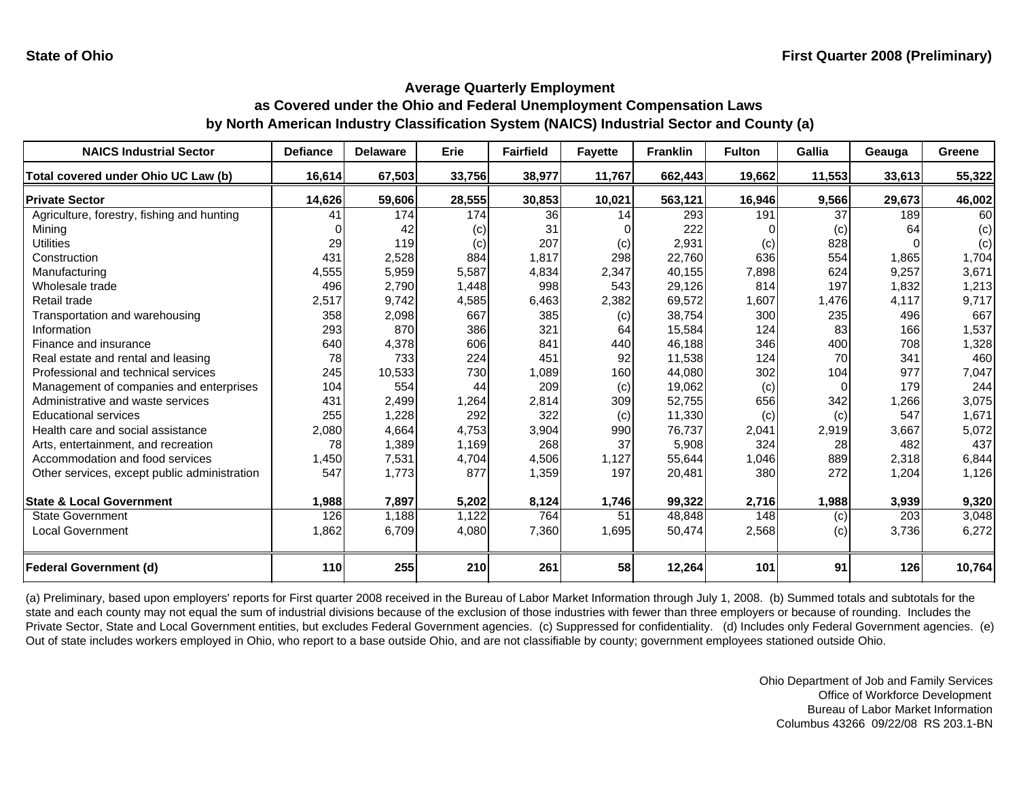| <b>NAICS Industrial Sector</b>               | <b>Defiance</b> | <b>Delaware</b> | <b>Erie</b> | <b>Fairfield</b> | <b>Favette</b> | <b>Franklin</b> | <b>Fulton</b> | Gallia | Geauga | Greene |
|----------------------------------------------|-----------------|-----------------|-------------|------------------|----------------|-----------------|---------------|--------|--------|--------|
| Total covered under Ohio UC Law (b)          | 16,614          | 67,503          | 33,756      | 38,977           | 11,767         | 662,443         | 19,662        | 11,553 | 33,613 | 55,322 |
| <b>Private Sector</b>                        | 14,626          | 59,606          | 28,555      | 30,853           | 10,021         | 563,121         | 16,946        | 9,566  | 29,673 | 46,002 |
| Agriculture, forestry, fishing and hunting   | 41              | 174             | 174         | 36               | 14             | 293             | 191           | 37     | 189    | 60     |
| Minina                                       |                 | 42              | (c)         | 31               |                | 222             |               | (c)    | 64     | (c)    |
| <b>Utilities</b>                             | 29              | 119             | (c)         | 207              | (c)            | 2,931           | (c)           | 828    |        | (c)    |
| Construction                                 | 431             | 2,528           | 884         | 1.817            | 298            | 22,760          | 636           | 554    | 1.865  | 1,704  |
| Manufacturing                                | 4,555           | 5,959           | 5,587       | 4,834            | 2,347          | 40,155          | 7,898         | 624    | 9,257  | 3,671  |
| Wholesale trade                              | 496             | 2,790           | 1,448       | 998              | 543            | 29,126          | 814           | 197    | 1,832  | 1,213  |
| Retail trade                                 | 2,517           | 9,742           | 4,585       | 6,463            | 2,382          | 69,572          | 1,607         | 1,476  | 4,117  | 9,717  |
| Transportation and warehousing               | 358             | 2,098           | 667         | 385              | (c)            | 38,754          | 300           | 235    | 496    | 667    |
| Information                                  | 293             | 870             | 386         | 321              | 64             | 15,584          | 124           | 83     | 166    | 1,537  |
| Finance and insurance                        | 640             | 4,378           | 606         | 841              | 440            | 46,188          | 346           | 400    | 708    | 1,328  |
| Real estate and rental and leasing           | 78              | 733             | 224         | 451              | 92             | 11,538          | 124           | 70     | 341    | 460    |
| Professional and technical services          | 245             | 10,533          | 730         | 1,089            | 160            | 44,080          | 302           | 104    | 977    | 7,047  |
| Management of companies and enterprises      | 104             | 554             | 44          | 209              | (c)            | 19,062          | (c)           | 0      | 179    | 244    |
| Administrative and waste services            | 431             | 2,499           | 1,264       | 2,814            | 309            | 52,755          | 656           | 342    | 1,266  | 3,075  |
| <b>Educational services</b>                  | 255             | 1,228           | 292         | 322              | (c)            | 11,330          | (c)           | (c)    | 547    | 1,671  |
| Health care and social assistance            | 2,080           | 4,664           | 4,753       | 3,904            | 990            | 76,737          | 2,041         | 2,919  | 3,667  | 5,072  |
| Arts, entertainment, and recreation          | 78              | 1,389           | 1,169       | 268              | 37             | 5,908           | 324           | 28     | 482    | 437    |
| Accommodation and food services              | 1,450           | 7,531           | 4,704       | 4,506            | 1,127          | 55,644          | 1,046         | 889    | 2,318  | 6,844  |
| Other services, except public administration | 547             | 1,773           | 877         | 1,359            | 197            | 20,481          | 380           | 272    | 1,204  | 1,126  |
| <b>State &amp; Local Government</b>          | 1,988           | 7,897           | 5,202       | 8,124            | 1,746          | 99,322          | 2,716         | 1,988  | 3,939  | 9,320  |
| <b>State Government</b>                      | 126             | 1,188           | 1,122       | 764              | 51             | 48,848          | 148           | (c)    | 203    | 3,048  |
| <b>Local Government</b>                      | 1,862           | 6,709           | 4,080       | 7,360            | 1,695          | 50,474          | 2,568         | (c)    | 3,736  | 6,272  |
| <b>Federal Government (d)</b>                | 110             | 255             | 210         | 261              | 58             | 12,264          | 101           | 91     | 126    | 10,764 |

(a) Preliminary, based upon employers' reports for First quarter 2008 received in the Bureau of Labor Market Information through July 1, 2008. (b) Summed totals and subtotals for the state and each county may not equal the sum of industrial divisions because of the exclusion of those industries with fewer than three employers or because of rounding. Includes the Private Sector, State and Local Government entities, but excludes Federal Government agencies. (c) Suppressed for confidentiality. (d) Includes only Federal Government agencies. (e) Out of state includes workers employed in Ohio, who report to a base outside Ohio, and are not classifiable by county; government employees stationed outside Ohio.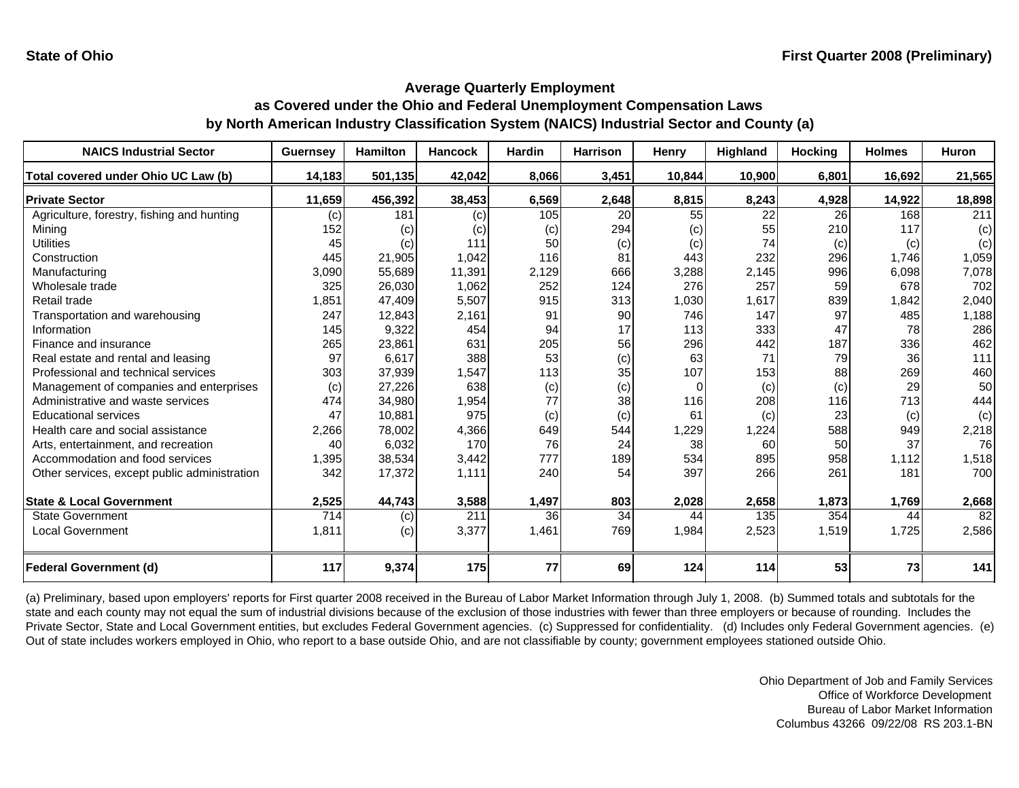| <b>NAICS Industrial Sector</b>               | <b>Guernsey</b> | <b>Hamilton</b> | <b>Hancock</b> | <b>Hardin</b> | <b>Harrison</b> | Henry     | Highland | <b>Hocking</b> | <b>Holmes</b> | <b>Huron</b> |
|----------------------------------------------|-----------------|-----------------|----------------|---------------|-----------------|-----------|----------|----------------|---------------|--------------|
| Total covered under Ohio UC Law (b)          | 14,183          | 501,135         | 42,042         | 8,066         | 3,451           | 10,844    | 10,900   | 6,801          | 16,692        | 21,565       |
| <b>Private Sector</b>                        | 11,659          | 456,392         | 38,453         | 6,569         | 2,648           | 8,815     | 8,243    | 4,928          | 14,922        | 18,898       |
| Agriculture, forestry, fishing and hunting   | (c)             | 181             | (c)            | 105           | 20              | 55        | 22       | 26             | 168           | 211          |
| Mining                                       | 152             | (c)             | (c)            | (c)           | 294             | (c)       | 55       | 210            | 117           | (c)          |
| <b>Utilities</b>                             | 45              | (c)             | 111            | 50            | (c)             | $\left( $ | 74       | (c)            | (c)           | (c)          |
| Construction                                 | 445             | 21,905          | 1,042          | 116           | 81              | 443       | 232      | 296            | 1,746         | 1,059        |
| Manufacturing                                | 3,090           | 55,689          | 11,391         | 2,129         | 666             | 3,288     | 2,145    | 996            | 6,098         | 7,078        |
| Wholesale trade                              | 325             | 26,030          | 1,062          | 252           | 124             | 276       | 257      | 59             | 678           | 702          |
| Retail trade                                 | 1,851           | 47,409          | 5,507          | 915           | 313             | 1,030     | 1,617    | 839            | 1,842         | 2,040        |
| Transportation and warehousing               | 247             | 12,843          | 2,161          | 91            | 90              | 746       | 147      | 97             | 485           | 1,188        |
| Information                                  | 145             | 9,322           | 454            | 94            | 17              | 113       | 333      | 47             | 78            | 286          |
| Finance and insurance                        | 265             | 23,861          | 631            | 205           | 56              | 296       | 442      | 187            | 336           | 462          |
| Real estate and rental and leasing           | 97              | 6,617           | 388            | 53            | (c)             | 63        | 71       | 79             | 36            | $111$        |
| Professional and technical services          | 303             | 37,939          | 1,547          | 113           | 35              | 107       | 153      | 88             | 269           | 460          |
| Management of companies and enterprises      | (c)             | 27,226          | 638            | (c)           | (c)             | $\Omega$  | (c)      | (c)            | 29            | 50           |
| Administrative and waste services            | 474             | 34,980          | 1,954          | 77            | 38              | 116       | 208      | 116            | 713           | 444          |
| <b>Educational services</b>                  | 47              | 10,881          | 975            | (c)           | (c)             | 61        | (c)      | 23             | (c)           | (c)          |
| Health care and social assistance            | 2,266           | 78,002          | 4,366          | 649           | 544             | 1,229     | ,224     | 588            | 949           | 2,218        |
| Arts, entertainment, and recreation          | 40              | 6,032           | 170            | 76            | 24              | 38        | 60       | 50             | 37            | 76           |
| Accommodation and food services              | 1,395           | 38,534          | 3,442          | 777           | 189             | 534       | 895      | 958            | 1,112         | 1,518        |
| Other services, except public administration | 342             | 17,372          | 1,111          | 240           | 54              | 397       | 266      | 261            | 181           | 700          |
| <b>State &amp; Local Government</b>          | 2,525           | 44,743          | 3,588          | 1,497         | 803             | 2,028     | 2,658    | 1,873          | 1,769         | 2,668        |
| <b>State Government</b>                      | 714             | (c)             | 211            | 36            | 34              | 44        | 135      | 354            | 44            | 82           |
| <b>Local Government</b>                      | 1,811           | (c)             | 3,377          | 1,461         | 769             | 1,984     | 2,523    | 1,519          | 1,725         | 2,586        |
| <b>Federal Government (d)</b>                | 117             | 9,374           | 175            | 77            | 69              | 124       | 114      | 53             | 73            | 141          |

(a) Preliminary, based upon employers' reports for First quarter 2008 received in the Bureau of Labor Market Information through July 1, 2008. (b) Summed totals and subtotals for the state and each county may not equal the sum of industrial divisions because of the exclusion of those industries with fewer than three employers or because of rounding. Includes the Private Sector, State and Local Government entities, but excludes Federal Government agencies. (c) Suppressed for confidentiality. (d) Includes only Federal Government agencies. (e) Out of state includes workers employed in Ohio, who report to a base outside Ohio, and are not classifiable by county; government employees stationed outside Ohio.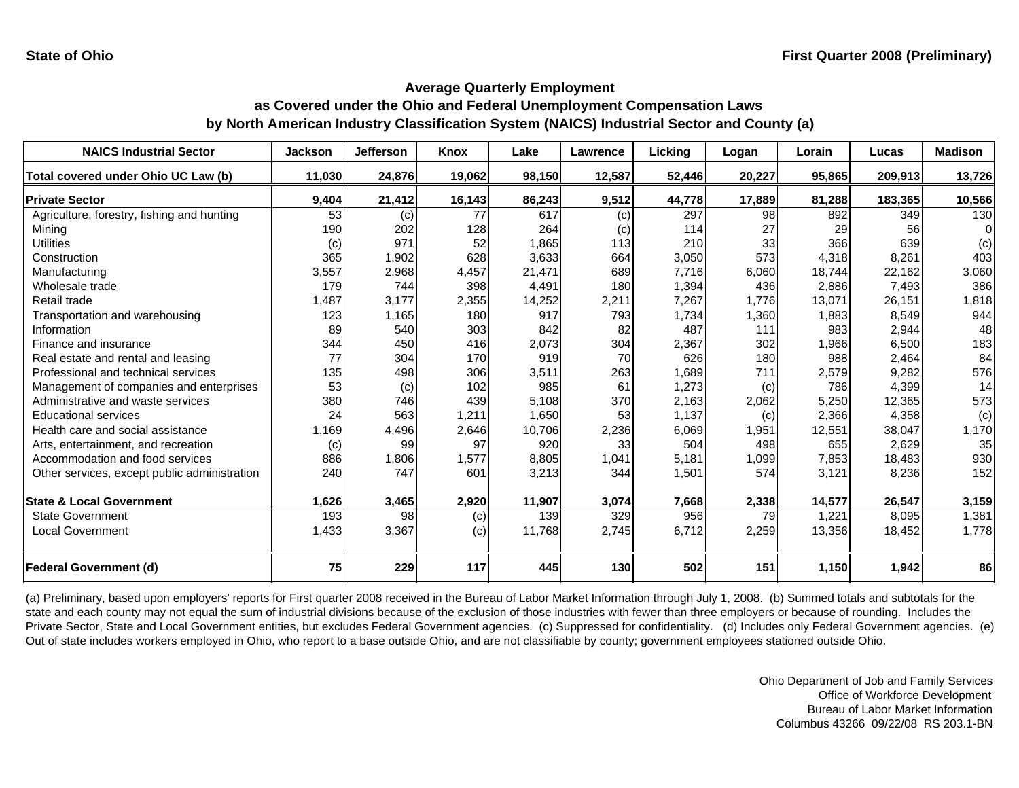| <b>NAICS Industrial Sector</b>               | <b>Jackson</b> | <b>Jefferson</b> | Knox   | Lake   | Lawrence | Licking | Logan  | Lorain | Lucas   | <b>Madison</b> |
|----------------------------------------------|----------------|------------------|--------|--------|----------|---------|--------|--------|---------|----------------|
| Total covered under Ohio UC Law (b)          | 11,030         | 24,876           | 19,062 | 98,150 | 12,587   | 52,446  | 20,227 | 95,865 | 209,913 | 13,726         |
| <b>Private Sector</b>                        | 9,404          | 21,412           | 16,143 | 86,243 | 9,512    | 44,778  | 17,889 | 81,288 | 183,365 | 10,566         |
| Agriculture, forestry, fishing and hunting   | 53             | (c)              | 77     | 617    | (c)      | 297     | 98     | 892    | 349     | 130            |
| Mining                                       | 190            | 202              | 128    | 264    | (c)      | 114     | 27     | 29     | 56      |                |
| <b>Utilities</b>                             | (c)            | 971              | 52     | 1,865  | 113      | 210     | 33     | 366    | 639     | (c)            |
| Construction                                 | 365            | 1,902            | 628    | 3,633  | 664      | 3,050   | 573    | 4.318  | 8,261   | 403            |
| Manufacturing                                | 3,557          | 2,968            | 4,457  | 21,471 | 689      | 7,716   | 6,060  | 18,744 | 22,162  | 3,060          |
| Wholesale trade                              | 179            | 744              | 398    | 4,491  | 180      | 1,394   | 436    | 2,886  | 7,493   | 386            |
| Retail trade                                 | 1,487          | 3,177            | 2,355  | 14,252 | 2,211    | 7,267   | 1,776  | 13,071 | 26,151  | 1,818          |
| Transportation and warehousing               | 123            | 1,165            | 180    | 917    | 793      | 1,734   | 1,360  | 1,883  | 8,549   | 944            |
| Information                                  | 89             | 540              | 303    | 842    | 82       | 487     | 111    | 983    | 2,944   | 48             |
| Finance and insurance                        | 344            | 450              | 416    | 2,073  | 304      | 2,367   | 302    | 1,966  | 6,500   | 183            |
| Real estate and rental and leasing           | 77             | 304              | 170    | 919    | 70       | 626     | 180    | 988    | 2,464   | 84             |
| Professional and technical services          | 135            | 498              | 306    | 3,511  | 263      | 1,689   | 711    | 2,579  | 9,282   | 576            |
| Management of companies and enterprises      | 53             | (c)              | 102    | 985    | 61       | 1,273   | (c)    | 786    | 4,399   | 14             |
| Administrative and waste services            | 380            | 746              | 439    | 5,108  | 370      | 2,163   | 2,062  | 5,250  | 12,365  | 573            |
| <b>Educational services</b>                  | 24             | 563              | 1,211  | 1,650  | 53       | 1,137   | (c)    | 2,366  | 4,358   | (c)            |
| Health care and social assistance            | 1,169          | 4,496            | 2,646  | 10,706 | 2,236    | 6,069   | 1,951  | 12,551 | 38,047  | 1,170          |
| Arts, entertainment, and recreation          | (c)            | 99               | 97     | 920    | 33       | 504     | 498    | 655    | 2,629   | 35             |
| Accommodation and food services              | 886            | 1,806            | 1,577  | 8,805  | 1,041    | 5,181   | 1,099  | 7,853  | 18,483  | 930            |
| Other services, except public administration | 240            | 747              | 601    | 3,213  | 344      | 1,501   | 574    | 3,121  | 8,236   | 152            |
| <b>State &amp; Local Government</b>          | 1,626          | 3,465            | 2,920  | 11,907 | 3,074    | 7,668   | 2,338  | 14,577 | 26,547  | 3,159          |
| <b>State Government</b>                      | 193            | 98               | (c)    | 139    | 329      | 956     | 79     | 1,221  | 8,095   | 1,381          |
| <b>Local Government</b>                      | 1,433          | 3,367            | (c)    | 11,768 | 2,745    | 6,712   | 2,259  | 13,356 | 18,452  | 1,778          |
| Federal Government (d)                       | 75             | 229              | 117    | 445    | 130      | 502     | 151    | 1,150  | 1,942   | 86             |

(a) Preliminary, based upon employers' reports for First quarter 2008 received in the Bureau of Labor Market Information through July 1, 2008. (b) Summed totals and subtotals for the state and each county may not equal the sum of industrial divisions because of the exclusion of those industries with fewer than three employers or because of rounding. Includes the Private Sector, State and Local Government entities, but excludes Federal Government agencies. (c) Suppressed for confidentiality. (d) Includes only Federal Government agencies. (e) Out of state includes workers employed in Ohio, who report to a base outside Ohio, and are not classifiable by county; government employees stationed outside Ohio.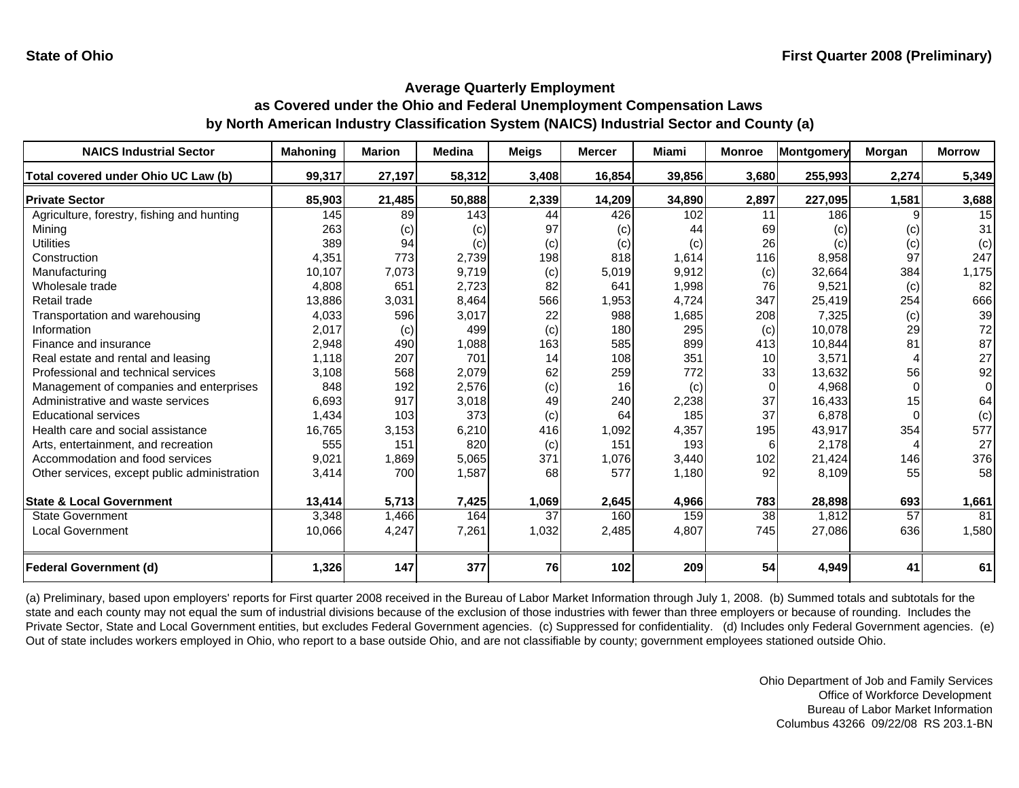| <b>NAICS Industrial Sector</b>               | <b>Mahoning</b> | <b>Marion</b> | <b>Medina</b> | <b>Meigs</b> | <b>Mercer</b> | <b>Miami</b> | <b>Monroe</b>   | Montgomery | <b>Morgan</b> | <b>Morrow</b> |
|----------------------------------------------|-----------------|---------------|---------------|--------------|---------------|--------------|-----------------|------------|---------------|---------------|
| Total covered under Ohio UC Law (b)          | 99,317          | 27,197        | 58,312        | 3,408        | 16,854        | 39,856       | 3,680           | 255,993    | 2,274         | 5,349         |
| <b>Private Sector</b>                        | 85,903          | 21,485        | 50,888        | 2,339        | 14,209        | 34,890       | 2,897           | 227,095    | 1,581         | 3,688         |
| Agriculture, forestry, fishing and hunting   | 145             | 89            | 143           | 44           | 426           | 102          | 11              | 186        | 9             | 15            |
| Minina                                       | 263             | (c)           | (c)           | 97           | (c)           | 44           | 69              | (c)        | (c)           | 31            |
| <b>Utilities</b>                             | 389             | 94            | (c)           | (c)          | (c)           | (c)          | 26              | (c)        | (c)           | (c)           |
| Construction                                 | 4,351           | 773           | 2,739         | 198          | 818           | 1,614        | 116             | 8,958      | 97            | 247           |
| Manufacturing                                | 10,107          | 7,073         | 9.719         | (c)          | 5,019         | 9.912        | (c)             | 32.664     | 384           | 1,175         |
| Wholesale trade                              | 4,808           | 651           | 2,723         | 82           | 641           | 1,998        | 76              | 9,521      | (c)           | 82            |
| Retail trade                                 | 13,886          | 3,031         | 8,464         | 566          | 1,953         | 4,724        | 347             | 25,419     | 254           | 666           |
| Transportation and warehousing               | 4,033           | 596           | 3,017         | 22           | 988           | 1,685        | 208             | 7,325      | (c)           | 39            |
| Information                                  | 2,017           | (c)           | 499           | (c)          | 180           | 295          | (c)             | 10,078     | 29            | 72            |
| Finance and insurance                        | 2,948           | 490           | 1,088         | 163          | 585           | 899          | 413             | 10,844     | 81            | 87            |
| Real estate and rental and leasing           | 1,118           | 207           | 701           | 14           | 108           | 351          | 10 <sup>1</sup> | 3.571      |               | 27            |
| Professional and technical services          | 3,108           | 568           | 2,079         | 62           | 259           | 772          | 33              | 13,632     | 56            | 92            |
| Management of companies and enterprises      | 848             | 192           | 2,576         | (c)          | 16            | (c)          | $\Omega$        | 4,968      | $\Omega$      | $\Omega$      |
| Administrative and waste services            | 6,693           | 917           | 3,018         | 49           | 240           | 2,238        | 37              | 16,433     | 15            | 64            |
| <b>Educational services</b>                  | 1,434           | 103           | 373           | (c)          | 64            | 185          | 37              | 6,878      | $\Omega$      | (c)           |
| Health care and social assistance            | 16,765          | 3,153         | 6,210         | 416          | 1,092         | 4,357        | 195             | 43,917     | 354           | 577           |
| Arts, entertainment, and recreation          | 555             | 151           | 820           | (c)          | 151           | 193          | 6               | 2.178      |               | 27            |
| Accommodation and food services              | 9,021           | 1,869         | 5,065         | 371          | 1,076         | 3,440        | 102             | 21,424     | 146           | 376           |
| Other services, except public administration | 3,414           | 700           | 1,587         | 68           | 577           | 1,180        | 92              | 8,109      | 55            | 58            |
| <b>State &amp; Local Government</b>          | 13,414          | 5,713         | 7,425         | 1,069        | 2,645         | 4,966        | 783             | 28,898     | 693           | 1,661         |
| <b>State Government</b>                      | 3,348           | 1,466         | 164           | 37           | 160           | 159          | 38              | 1,812      | 57            | 81            |
| <b>Local Government</b>                      | 10,066          | 4,247         | 7,261         | 1,032        | 2,485         | 4,807        | 745             | 27,086     | 636           | 1,580         |
| <b>Federal Government (d)</b>                | 1,326           | 147           | 377           | 76           | 102           | 209          | 54              | 4,949      | 41            | 61            |

(a) Preliminary, based upon employers' reports for First quarter 2008 received in the Bureau of Labor Market Information through July 1, 2008. (b) Summed totals and subtotals for the state and each county may not equal the sum of industrial divisions because of the exclusion of those industries with fewer than three employers or because of rounding. Includes the Private Sector, State and Local Government entities, but excludes Federal Government agencies. (c) Suppressed for confidentiality. (d) Includes only Federal Government agencies. (e) Out of state includes workers employed in Ohio, who report to a base outside Ohio, and are not classifiable by county; government employees stationed outside Ohio.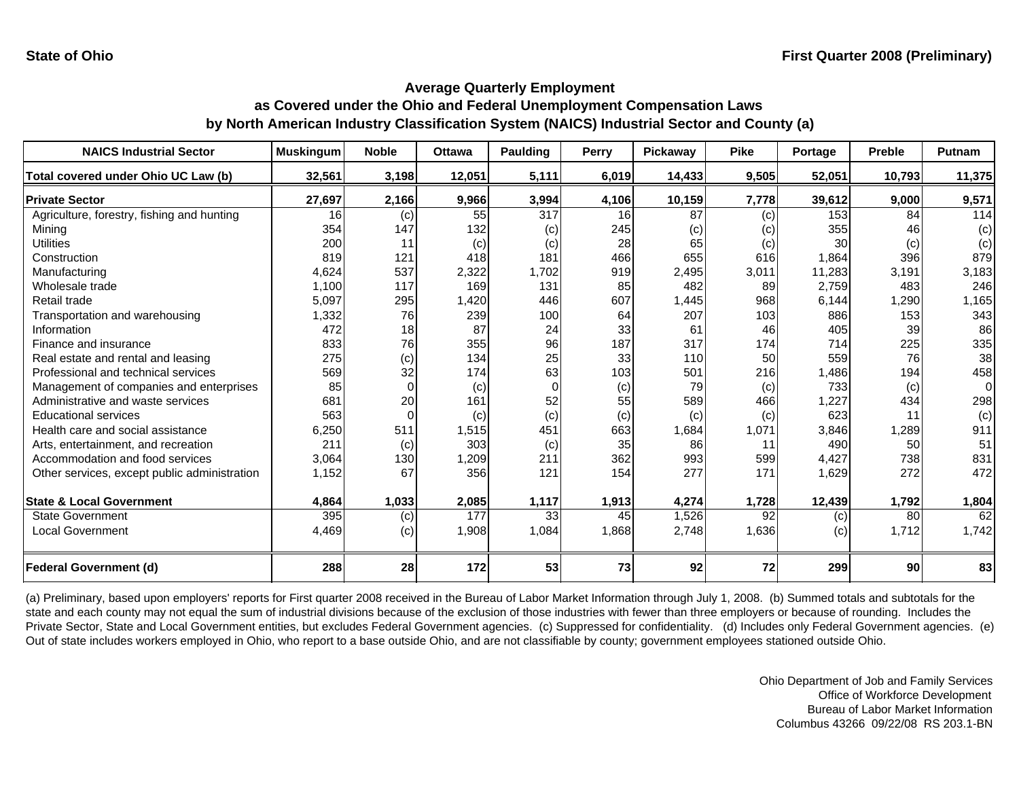| <b>NAICS Industrial Sector</b>               | <b>Muskingum</b> | <b>Noble</b> | <b>Ottawa</b> | <b>Paulding</b> | <b>Perry</b> | Pickaway | <b>Pike</b> | Portage | <b>Preble</b> | Putnam         |
|----------------------------------------------|------------------|--------------|---------------|-----------------|--------------|----------|-------------|---------|---------------|----------------|
| Total covered under Ohio UC Law (b)          | 32,561           | 3,198        | 12,051        | 5,111           | 6,019        | 14,433   | 9,505       | 52,051  | 10,793        | 11,375         |
| <b>Private Sector</b>                        | 27,697           | 2,166        | 9,966         | 3,994           | 4,106        | 10,159   | 7,778       | 39,612  | 9,000         | 9,571          |
| Agriculture, forestry, fishing and hunting   | 16               | (c)          | 55            | 317             | 16           | 87       | (c)         | 153     | 84            | 114            |
| Mining                                       | 354              | 147          | 132           | (c)             | 245          | (c)      | (c)         | 355     | 46            | (c)            |
| Utilities                                    | 200              | 11           | (c)           | (c)             | 28           | 65       | (c)         | 30      | (c)           | (c)            |
| Construction                                 | 819              | 121          | 418           | 181             | 466          | 655      | 616         | 1,864   | 396           | 879            |
| Manufacturing                                | 4,624            | 537          | 2,322         | 1,702           | 919          | 2,495    | 3,011       | 11,283  | 3,191         | 3,183          |
| Wholesale trade                              | 1,100            | 117          | 169           | 131             | 85           | 482      | 89          | 2,759   | 483           | 246            |
| Retail trade                                 | 5,097            | 295          | 1,420         | 446             | 607          | 1,445    | 968         | 6,144   | 1,290         | 1,165          |
| Transportation and warehousing               | 1,332            | 76           | 239           | 100             | 64           | 207      | 103         | 886     | 153           | 343            |
| Information                                  | 472              | 18           | 87            | 24              | 33           | 61       | 46          | 405     | 39            | 86             |
| Finance and insurance                        | 833              | 76           | 355           | 96              | 187          | 317      | 174         | 714     | 225           | 335            |
| Real estate and rental and leasing           | 275              | (c)          | 134           | 25              | 33           | 110      | 50          | 559     | 76            | 38             |
| Professional and technical services          | 569              | 32           | 174           | 63              | 103          | 501      | 216         | 1,486   | 194           | 458            |
| Management of companies and enterprises      | 85               | $\Omega$     | (c)           | $\Omega$        | (c)          | 79       | (c)         | 733     | (c)           | $\overline{0}$ |
| Administrative and waste services            | 681              | 20           | 161           | 52              | 55           | 589      | 466         | 1,227   | 434           | 298            |
| <b>Educational services</b>                  | 563              |              | (c)           | (c)             | (c)          | (c)      | (c)         | 623     | 11            | (c)            |
| Health care and social assistance            | 6,250            | 511          | 1,515         | 451             | 663          | 1,684    | 1,071       | 3,846   | 1,289         | 911            |
| Arts, entertainment, and recreation          | 211              | (c)          | 303           | (c)             | 35           | 86       | 11          | 490     | 50            | 51             |
| Accommodation and food services              | 3,064            | 130          | 1,209         | 211             | 362          | 993      | 599         | 4,427   | 738           | 831            |
| Other services, except public administration | 1,152            | 67           | 356           | 121             | 154          | 277      | 171         | 1,629   | 272           | 472            |
| <b>State &amp; Local Government</b>          | 4,864            | 1,033        | 2,085         | 1,117           | 1,913        | 4,274    | 1,728       | 12,439  | 1,792         | 1,804          |
| <b>State Government</b>                      | 395              | (c)          | 177           | 33              | 45           | 1,526    | 92          | (c)     | 80            | 62             |
| <b>Local Government</b>                      | 4,469            | (c)          | 1,908         | 1,084           | 1,868        | 2,748    | 1,636       | (c)     | 1,712         | 1,742          |
|                                              |                  |              |               |                 |              |          |             |         |               |                |
| <b>Federal Government (d)</b>                | 288              | 28           | 172           | 53              | 73           | 92       | 72          | 299     | 90            | 83             |

(a) Preliminary, based upon employers' reports for First quarter 2008 received in the Bureau of Labor Market Information through July 1, 2008. (b) Summed totals and subtotals for the state and each county may not equal the sum of industrial divisions because of the exclusion of those industries with fewer than three employers or because of rounding. Includes the Private Sector, State and Local Government entities, but excludes Federal Government agencies. (c) Suppressed for confidentiality. (d) Includes only Federal Government agencies. (e) Out of state includes workers employed in Ohio, who report to a base outside Ohio, and are not classifiable by county; government employees stationed outside Ohio.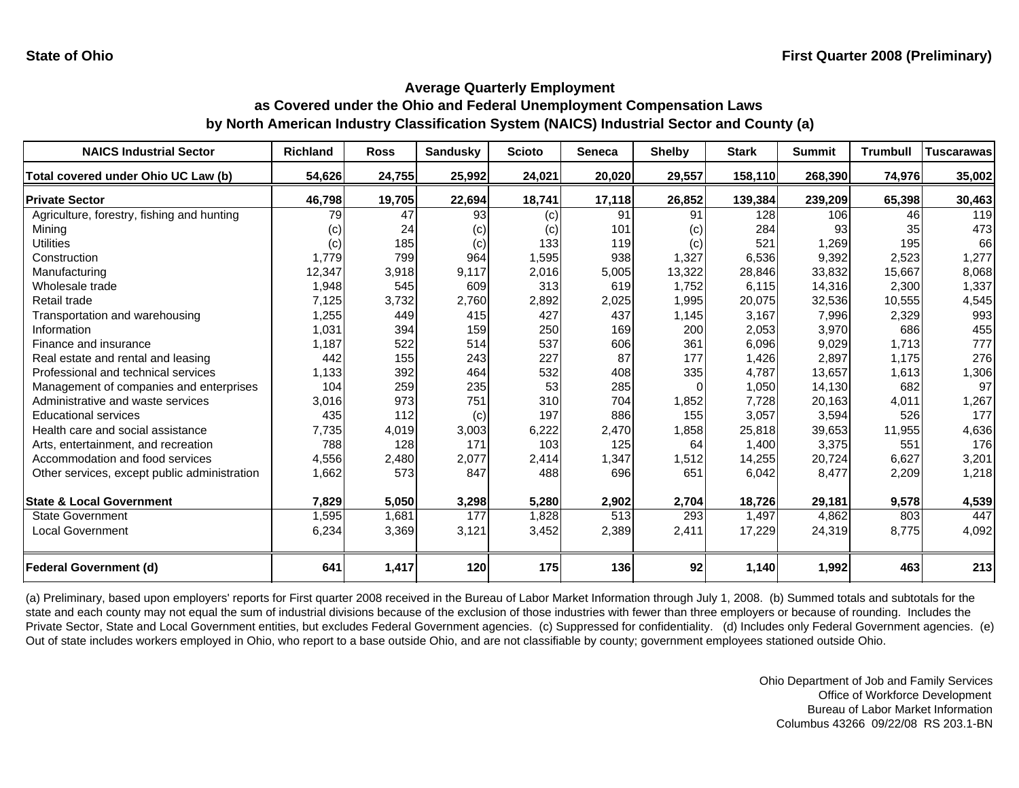| <b>NAICS Industrial Sector</b>               | Richland | <b>Ross</b> | <b>Sandusky</b> | <b>Scioto</b> | Seneca | <b>Shelby</b> | <b>Stark</b> | <b>Summit</b> | <b>Trumbull</b> | <b>Tuscarawas</b> |
|----------------------------------------------|----------|-------------|-----------------|---------------|--------|---------------|--------------|---------------|-----------------|-------------------|
| Total covered under Ohio UC Law (b)          | 54,626   | 24,755      | 25,992          | 24,021        | 20,020 | 29,557        | 158,110      | 268,390       | 74,976          | 35,002            |
| <b>Private Sector</b>                        | 46,798   | 19,705      | 22,694          | 18,741        | 17,118 | 26,852        | 139,384      | 239,209       | 65,398          | 30,463            |
| Agriculture, forestry, fishing and hunting   | 79       | 47          | 93              | (c)           | 91     | 91            | 128          | 106           | 46              | 119               |
| Mining                                       | (c)      | 24          | (c)             | (c)           | 101    | (c)           | 284          | 93            | 35              | 473               |
| Utilities                                    | (c)      | 185         | (c)             | 133           | 119    | (c)           | 521          | 1,269         | 195             | 66                |
| Construction                                 | 1,779    | 799         | 964             | 1,595         | 938    | 1,327         | 6,536        | 9,392         | 2,523           | 1,277             |
| Manufacturing                                | 12,347   | 3,918       | 9,117           | 2,016         | 5,005  | 13,322        | 28,846       | 33,832        | 15,667          | 8,068             |
| Wholesale trade                              | 1,948    | 545         | 609             | 313           | 619    | 1,752         | 6,115        | 14,316        | 2,300           | 1,337             |
| Retail trade                                 | 7,125    | 3,732       | 2,760           | 2,892         | 2,025  | 1,995         | 20,075       | 32,536        | 10,555          | 4,545             |
| Transportation and warehousing               | 1,255    | 449         | 415             | 427           | 437    | 1,145         | 3,167        | 7,996         | 2,329           | 993               |
| Information                                  | 1,031    | 394         | 159             | 250           | 169    | 200           | 2,053        | 3,970         | 686             | 455               |
| Finance and insurance                        | 1,187    | 522         | 514             | 537           | 606    | 361           | 6,096        | 9,029         | 1,713           | 777               |
| Real estate and rental and leasing           | 442      | 155         | 243             | 227           | 87     | 177           | 1,426        | 2,897         | 1,175           | 276               |
| Professional and technical services          | 1,133    | 392         | 464             | 532           | 408    | 335           | 4,787        | 13,657        | 1,613           | 1,306             |
| Management of companies and enterprises      | 104      | 259         | 235             | 53            | 285    | <sup>0</sup>  | 1,050        | 14,130        | 682             | 97                |
| Administrative and waste services            | 3,016    | 973         | 751             | 310           | 704    | 1,852         | 7,728        | 20,163        | 4,011           | 1,267             |
| <b>Educational services</b>                  | 435      | 112         | (c)             | 197           | 886    | 155           | 3,057        | 3,594         | 526             | 177               |
| Health care and social assistance            | 7,735    | 4,019       | 3,003           | 6,222         | 2,470  | 1,858         | 25,818       | 39,653        | 11,955          | 4,636             |
| Arts, entertainment, and recreation          | 788      | 128         | 171             | 103           | 125    | 64            | 1,400        | 3,375         | 551             | 176               |
| Accommodation and food services              | 4,556    | 2,480       | 2,077           | 2,414         | 1,347  | 1,512         | 14,255       | 20,724        | 6,627           | 3,201             |
| Other services, except public administration | 1,662    | 573         | 847             | 488           | 696    | 651           | 6,042        | 8,477         | 2,209           | 1,218             |
| <b>State &amp; Local Government</b>          | 7,829    | 5,050       | 3,298           | 5,280         | 2,902  | 2,704         | 18,726       | 29,181        | 9,578           | 4,539             |
| <b>State Government</b>                      | 1,595    | 1,681       | 177             | 1,828         | 513    | 293           | 1,497        | 4,862         | 803             | 447               |
| <b>Local Government</b>                      | 6,234    | 3,369       | 3,121           | 3,452         | 2,389  | 2,411         | 17,229       | 24,319        | 8,775           | 4,092             |
| <b>Federal Government (d)</b>                | 641      | 1,417       | 120             | 175           | 136    | 92            | 1,140        | 1,992         | 463             | 213               |

(a) Preliminary, based upon employers' reports for First quarter 2008 received in the Bureau of Labor Market Information through July 1, 2008. (b) Summed totals and subtotals for the state and each county may not equal the sum of industrial divisions because of the exclusion of those industries with fewer than three employers or because of rounding. Includes the Private Sector, State and Local Government entities, but excludes Federal Government agencies. (c) Suppressed for confidentiality. (d) Includes only Federal Government agencies. (e) Out of state includes workers employed in Ohio, who report to a base outside Ohio, and are not classifiable by county; government employees stationed outside Ohio.